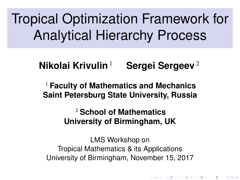<span id="page-0-0"></span>Tropical Optimization Framework for Analytical Hierarchy Process

# **Nikolai Krivulin**<sup>1</sup> **Serge˘ı Sergeev**<sup>2</sup>

<sup>1</sup> **Faculty of Mathematics and Mechanics Saint Petersburg State University, Russia**

> <sup>2</sup> **School of Mathematics University of Birmingham, UK**

LMS Workshop on Tropical Mathematics & its Applications University of Birmingham, November 15, 2017

K ロ K K @ K K X 통 K X 통 X → 통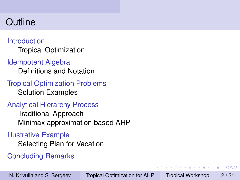# **Outline**

#### **[Introduction](#page-2-0)** [Tropical Optimization](#page-2-0)

#### [Idempotent Algebra](#page-3-0)

[Definitions and Notation](#page-3-0)

[Tropical Optimization Problems](#page-8-0) [Solution Examples](#page-8-0)

### [Analytical Hierarchy Process](#page-11-0)

[Traditional Approach](#page-11-0) [Minimax approximation based AHP](#page-14-0)

#### [Illustrative Example](#page-22-0)

[Selecting Plan for Vacation](#page-22-0)

### [Concluding Remarks](#page-29-0)

→ 重 トー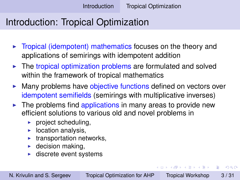# <span id="page-2-0"></span>Introduction: Tropical Optimization

- $\triangleright$  Tropical (idempotent) mathematics focuses on the theory and applications of semirings with idempotent addition
- $\triangleright$  The tropical optimization problems are formulated and solved within the framework of tropical mathematics
- Many problems have objective functions defined on vectors over idempotent semifields (semirings with multiplicative inverses)
- $\blacktriangleright$  The problems find applications in many areas to provide new efficient solutions to various old and novel problems in
	- $\blacktriangleright$  project scheduling,
	- $\blacktriangleright$  location analysis,
	- transportation networks,
	- $\blacktriangleright$  decision making,
	- discrete event systems

不重 おす 重 おし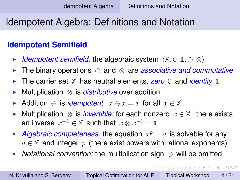# <span id="page-3-0"></span>Idempotent Algebra: Definitions and Notation

#### **Idempotent Semifield**

- *Idempotent semifield:* the algebraic system  $\langle \mathbb{X}, \mathbb{0}, \mathbb{1}, \oplus, \otimes \rangle$
- <sup>I</sup> The binary operations ⊕ and ⊗ are *associative and commutative*
- ► The carrier set *X* has neutral elements, *zero* 0 and *identity* 1
- <sup>I</sup> Multiplication ⊗ is *distributive* over addition
- Addition  $\oplus$  is *idempotent:*  $x \oplus x = x$  for all  $x \in \mathbb{X}$
- Multiplication ⊗ is *invertible:* for each nonzero  $x \in \mathbb{X}$ , there exists an inverse  $x^{-1} \in \mathbb{X}$  such that  $x \otimes x^{-1} = \mathbb{1}$
- Algebraic completeness: the equation  $x^p = a$  is solvable for any  $a \in \mathbb{X}$  and integer p (there exist powers with rational exponents)
- *Notational convention:* the multiplication sign ⊗ will be omitted

不重 的人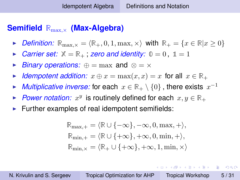## <span id="page-4-0"></span>**Semifield R**max,<sup>×</sup> **(Max-Algebra)**

- *Definition:*  $\mathbb{R}_{\text{max.}\times} = \langle \mathbb{R}_+, 0, 1, \max, \times \rangle$  with  $\mathbb{R}_+ = \{x \in \mathbb{R} | x \geq 0\}$
- *Carrier set:*  $X = \mathbb{R}_+$ ; *zero and identity:*  $0 = 0$ ,  $1 = 1$
- *Binary operations:*  $\oplus = \max$  and  $\otimes = \times$
- *Idempotent addition:*  $x \oplus x = \max(x, x) = x$  for all  $x \in \mathbb{R}_+$
- ► *Multiplicative inverse:* for each  $x \in \mathbb{R}_+ \setminus \{0\}$  , there exists  $x^{-1}$
- ► *Power notation:*  $x^y$  is routinely defined for each  $x, y \in \mathbb{R}_+$
- $\blacktriangleright$  Further examples of real idempotent semifields:

$$
\mathbb{R}_{\max,+} = \langle \mathbb{R} \cup \{-\infty\}, -\infty, 0, \max, + \rangle,
$$
  

$$
\mathbb{R}_{\min,+} = \langle \mathbb{R} \cup \{+\infty\}, +\infty, 0, \min, + \rangle,
$$
  

$$
\mathbb{R}_{\min,x} = \langle \mathbb{R}_+ \cup \{+\infty\}, +\infty, 1, \min, \times \rangle
$$

イロト イ押 トイヨ トイヨ トーヨー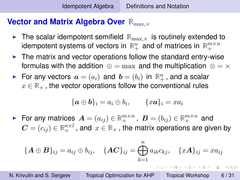#### <span id="page-5-0"></span>**Vector and Matrix Algebra Over**  $\mathbb{R}_{\max,X}$

- If The scalar idempotent semifield  $\mathbb{R}_{\max}$  is routinely extended to idempotent systems of vectors in  $\mathbb{R}^n_+$  and of matrices in  $\mathbb{R}^{m\times n}_+$
- $\blacktriangleright$  The matrix and vector operations follow the standard entry-wise formulas with the addition  $\oplus = \max$  and the multiplication  $\otimes = \times$
- For any vectors  $\boldsymbol{a} = (a_i)$  and  $\boldsymbol{b} = (b_i)$  in  $\mathbb{R}^n_+$ , and a scalar  $x \in \mathbb{R}_+$ , the vector operations follow the conventional rules

$$
{\{a \oplus b\}}_i = a_i \oplus b_i, \qquad {x\mathbf{a}}_i = xa_i
$$

For any matrices  $\boldsymbol{A} = (a_{ij}) \in \mathbb{R}^{m \times n}_+$ ,  $\boldsymbol{B} = (b_{ij}) \in \mathbb{R}^{m \times n}_+$  and  $\boldsymbol{C} = (c_{ij}) \in \mathbb{R}^{n \times l}_+$  , and  $\,x \in \mathbb{R}_+$  , the matrix operations are given by

$$
\{\boldsymbol{A}\oplus\boldsymbol{B}\}_{ij}=a_{ij}\oplus b_{ij},\quad \{\boldsymbol{A}\boldsymbol{C}\}_{ij}=\bigoplus_{k=1}^n a_{ik}c_{kj},\quad \{\boldsymbol{x}\boldsymbol{A}\}_{ij}=xa_{ij}
$$

**KOD KAD KED KED E YORA**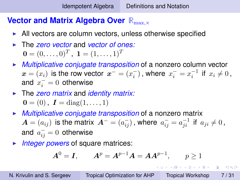### <span id="page-6-0"></span>**Vector and Matrix Algebra Over**  $\mathbb{R}_{\max,X}$

- $\triangleright$  All vectors are column vectors, unless otherwise specified
- **If The** *zero vector* **and** *vector of ones:*  $\mathbf{0}=(0,\ldots,0)^T$  ,  $\mathbf{1}=(1,\ldots,1)^T$
- **Multiplicative conjugate transposition of a nonzero column vector**  $\bm{x}=(x_i)$  is the row vector  $\bm{x}^-= (x_i^-)$  , where  $\overline{x_i^-}=x_i^{-1}$  if  $x_i\neq 0$  , and  $x_i^-=0$  otherwise
- ▶ The *zero matrix* and *identity matrix:*  $\mathbf{0} = (0)$ ,  $\mathbf{I} = \text{diag}(1, \ldots, 1)$
- **Multiplicative conjugate transposition of a nonzero matrix**  $\bm{A}=(a_{ij})$  is the matrix  $\bm{A}^{-}=(a_{ij}^{-})$  , where  $\,a_{ij}^{-}=a_{ji}^{-1}\,$  if  $\,a_{ji}\neq 0$  , and  $a_{ij}^+ = 0$  otherwise
- **Integer powers of square matrices:**

$$
A^0 = I
$$
,  $A^p = A^{p-1}A = AA^{p-1}$ ,  $p \ge 1$ 

 $QQ$ 

イロト イ押 トイヨ トイヨ トーヨー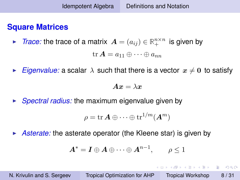#### <span id="page-7-0"></span>**Square Matrices**

► *Trace:* the trace of a matrix  $\boldsymbol{A} = (a_{ij}) \in \mathbb{R}_{+}^{n \times n}$  is given by

$$
\operatorname{tr} \boldsymbol{A} = a_{11} \oplus \cdots \oplus a_{nn}
$$

*Eigenvalue:* a scalar  $\lambda$  such that there is a vector  $x \neq 0$  to satisfy

$$
Ax=\lambda x
$$

**Spectral radius:** the maximum eigenvalue given by

$$
\rho = \mathrm{tr}\, \boldsymbol{A} \oplus \cdots \oplus \mathrm{tr}^{1/m}(\boldsymbol{A}^m)
$$

► *Asterate:* the asterate operator (the Kleene star) is given by

$$
\boldsymbol{A}^* = \boldsymbol{I} \oplus \boldsymbol{A} \oplus \cdots \oplus \boldsymbol{A}^{n-1}, \qquad \rho \le 1
$$

イロト イ押 トイヨ トイヨ トーヨー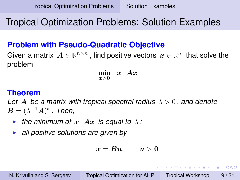## <span id="page-8-0"></span>Tropical Optimization Problems: Solution Examples

#### **Problem with Pseudo-Quadratic Objective**

Given a matrix  $\bm{A} \in \mathbb{R}_{+}^{n \times n}$  , find positive vectors  $\bm{x} \in \mathbb{R}_{+}^{n}$  that solve the problem

$$
\min_{x>0} x^{-}Ax
$$

#### **Theorem**

Let A be a matrix with tropical spectral radius  $\lambda > 0$ , and denote  $\boldsymbol{B}=(\lambda^{-1}\boldsymbol{A})^*$  . Then,

- ► the minimum of  $x^-Ax$  is equal to  $\lambda$ ;
- **all positive solutions are given by**

$$
x=Bu, \qquad u>0
$$

 $2990$ 

イロト イ押 トイヨ トイヨ トーヨー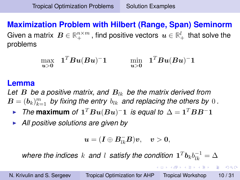<span id="page-9-0"></span>**Maximization Problem with Hilbert (Range, Span) Seminorm** Given a matrix  $\bm{B}\in \mathbb{R}_{+}^{n\times m}$  , find positive vectors  $\bm{u}\in \mathbb{R}_{+}^{l}$  that solve the problems

$$
\max_{\boldsymbol u > \boldsymbol 0} \hspace{0.3cm} \boldsymbol 1^T \boldsymbol B \boldsymbol u (\boldsymbol B \boldsymbol u)^- \boldsymbol 1 \hspace{1cm} \min_{\boldsymbol u > \boldsymbol 0} \hspace{0.3cm} \boldsymbol 1^T \boldsymbol B \boldsymbol u (\boldsymbol B \boldsymbol u)^- \boldsymbol 1
$$

#### **Lemma**

Let  $B$  be a positive matrix, and  $B_{lk}$  be the matrix derived from  $\boldsymbol{B} = (\boldsymbol{b}_k)_{k=1}^m$  by fixing the entry  $b_{lk}$  and replacing the others by  $0$  .

- ► The maximum of  $\mathbf{1}^T B u(Bu)$ <sup>-</sup>1 *is equal to*  $\Delta = \mathbf{1}^T B B^{-} \mathbf{1}$
- **All positive solutions are given by**

$$
\boldsymbol{u}=(\boldsymbol{I}\oplus \boldsymbol{B}_{lk}^-\boldsymbol{B})\boldsymbol{v},\quad \boldsymbol{v}>\boldsymbol{0},
$$

where the indices  $k$  and  $l$  satisfy the condition  $\mathbf{1}^T\boldsymbol{b}_kb_{lk}^{-1}=\Delta$ 

**KAD KED KED E DAG**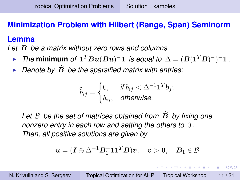## <span id="page-10-0"></span>**Minimization Problem with Hilbert (Range, Span) Seminorm**

#### **Lemma**

*Let* B *be a matrix without zero rows and columns.*

- ► The minimum of  $\mathbf{1}^T B u(Bu)^{-} \mathbf{1}$  is equal to  $\Delta = (B(\mathbf{1}^T B)^{-})^{-} \mathbf{1}$  *.*
- Denote by  $\widehat{B}$  be the sparsified matrix with entries:

$$
\widehat{b}_{ij} = \begin{cases} 0, & \text{if } b_{ij} < \Delta^{-1} \mathbf{1}^T \mathbf{b}_j; \\ b_{ij}, & \text{otherwise.} \end{cases}
$$

Let  $\beta$  be the set of matrices obtained from  $\hat{B}$  by fixing one *nonzero entry in each row and setting the others to* 0 *. Then, all positive solutions are given by*

$$
\boldsymbol{u}=(\boldsymbol{I}\oplus\Delta^{-1}\boldsymbol{B}_{1}^{-}\boldsymbol{1}\boldsymbol{1}^{T}\boldsymbol{B})\boldsymbol{v},\quad \boldsymbol{v}>\boldsymbol{0},\quad \boldsymbol{B}_{1}\in\mathcal{B}
$$

 $\mathcal{A} \xrightarrow{\sim} \mathcal{B} \xrightarrow{\sim} \mathcal{A} \xrightarrow{\sim} \mathcal{B} \xrightarrow{\sim} \mathcal{B}$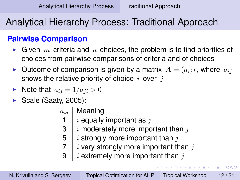→ 重き 4 重き …

 $2Q$ 

# <span id="page-11-0"></span>Analytical Hierarchy Process: Traditional Approach

### **Pairwise Comparison**

- $\blacktriangleright$  Given m criteria and n choices, the problem is to find priorities of choices from pairwise comparisons of criteria and of choices
- **Dutcome of comparison is given by a matrix**  $A = (a_{ij})$ , where  $a_{ij}$ shows the relative priority of choice  $i$  over  $j$
- $\blacktriangleright$  Note that  $a_{ij} = 1/a_{ji} > 0$
- $\triangleright$  Scale (Saaty, 2005):

| $a_{i,i}$      | Meaning                                   |
|----------------|-------------------------------------------|
| 1.             | $i$ equally important as $j$              |
| 3              | $i$ moderately more important than $j$    |
| 5              | $i$ strongly more important than $j$      |
| $\overline{7}$ | $i$ very strongly more important than $j$ |
| 9              | $i$ extremely more important than $j$     |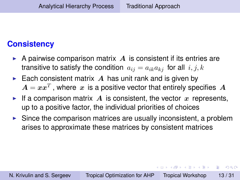### <span id="page-12-0"></span>**Consistency**

- A pairwise comparison matrix  $A$  is consistent if its entries are transitive to satisfy the condition  $a_{ij} = a_{ik}a_{ki}$  for all  $i, j, k$
- Each consistent matrix  $\boldsymbol{A}$  has unit rank and is given by  $\boldsymbol{A} = \boldsymbol{x} \boldsymbol{x}^T$  , where  $\,\boldsymbol{x}\,$  is a positive vector that entirely specifies  $\,\boldsymbol{A}$
- If a comparison matrix A is consistent, the vector x represents, up to a positive factor, the individual priorities of choices
- $\triangleright$  Since the comparison matrices are usually inconsistent, a problem arises to approximate these matrices by consistent matrices

重き イヨギー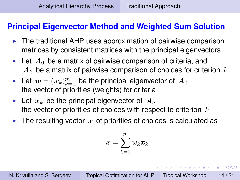### <span id="page-13-0"></span>**Principal Eigenvector Method and Weighted Sum Solution**

- $\triangleright$  The traditional AHP uses approximation of pairwise comparison matrices by consistent matrices with the principal eigenvectors
- Let  $A_0$  be a matrix of pairwise comparison of criteria, and  $A_k$  be a matrix of pairwise comparison of choices for criterion  $k$
- $\blacktriangleright$  Let  $\bm{w} = (w_k)_{k=1}^m$  be the principal eigenvector of  $\bm{A}_0$ : the vector of priorities (weights) for criteria
- Let  $x_k$  be the principal eigenvector of  $A_k$ : the vector of priorities of choices with respect to criterion  $k$
- If The resulting vector x of priorities of choices is calculated as

$$
\boldsymbol{x} = \sum_{k=1}^m w_k \boldsymbol{x}_k
$$

 $\left\{ \left\vert \left\langle \left\langle \mathbf{p} \right\rangle \right\rangle \right\vert \times \left\langle \left\langle \mathbf{p} \right\rangle \right\rangle \right\} \times \left\langle \left\langle \mathbf{p} \right\rangle \right\rangle \right\}$ 

 $\Omega$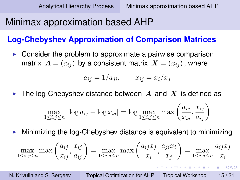# <span id="page-14-0"></span>Minimax approximation based AHP

### **Log-Chebyshev Approximation of Comparison Matrices**

Consider the problem to approximate a pairwise comparison matrix  $\mathbf{A} = (a_{ij})$  by a consistent matrix  $\mathbf{X} = (x_{ij})$ , where

$$
a_{ij} = 1/a_{ji}, \qquad x_{ij} = x_i/x_j
$$

The log-Chebyshev distance between  $A$  and  $X$  is defined as

$$
\max_{1 \le i,j \le n} |\log a_{ij} - \log x_{ij}| = \log \max_{1 \le i,j \le n} \max \left( \frac{a_{ij}}{x_{ij}}, \frac{x_{ij}}{a_{ij}} \right)
$$

Minimizing the log-Chebyshev distance is equivalent to minimizing

$$
\max_{1 \le i,j \le n} \max \left( \frac{a_{ij}}{x_{ij}}, \frac{x_{ij}}{a_{ij}} \right) = \max_{1 \le i,j \le n} \max \left( \frac{a_{ij}x_j}{x_i}, \frac{a_{ji}x_i}{x_j} \right) = \max_{1 \le i,j \le n} \frac{a_{ij}x_j}{x_i}
$$
\nN. Krivulin and S. Sergeev  
\n**Tropical Optimization for AHP Tropical Workshop** 15/31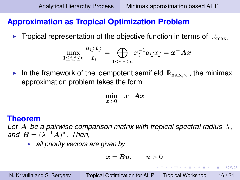## <span id="page-15-0"></span>**Approximation as Tropical Optimization Problem**

**I** Tropical representation of the objective function in terms of  $\mathbb{R}_{\text{max}}$ ,

$$
\max_{1 \le i,j \le n} \frac{a_{ij} x_j}{x_i} = \bigoplus_{1 \le i,j \le n} x_i^{-1} a_{ij} x_j = \boldsymbol{x}^- \boldsymbol{A} \boldsymbol{x}
$$

In the framework of the idempotent semifield  $\mathbb{R}_{\text{max}}$ , the minimax approximation problem takes the form

$$
\min_{x>0} x^{-}Ax
$$

#### **Theorem**

*Let* A *be a pairwise comparison matrix with tropical spectral radius* λ *,* and  $\boldsymbol{B} = (\lambda^{-1}\boldsymbol{A})^*$ . Then,

**all priority vectors are given by** 

$$
\boldsymbol{x} = \boldsymbol{B}\boldsymbol{u}, \qquad \boldsymbol{u} > \boldsymbol{0}
$$

 $2990$ 

イロト イ伊 トイヨ トイヨ トー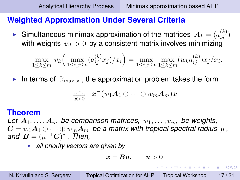#### <span id="page-16-0"></span>**Weighted Approximation Under Several Criteria**

Simultaneous minimax approximation of the matrices  $\boldsymbol{A}_k = (a_{ij}^{(k)})$ with weights  $w_k > 0$  by a consistent matrix involves minimizing

$$
\max_{1 \le k \le m} w_k \left( \max_{1 \le i,j \le n} (a_{ij}^{(k)} x_j) / x_i \right) = \max_{1 \le i,j \le n} \max_{1 \le k \le m} (w_k a_{ij}^{(k)}) x_j / x_i.
$$

In terms of  $\mathbb{R}_{\max,X}$ , the approximation problem takes the form

$$
\min_{\bm{x} > \bm{0}} \quad \bm{x}^-(w_1\bm{A}_1 \oplus \cdots \oplus w_m\bm{A}_m)\bm{x}
$$

#### **Theorem**

Let  $A_1, \ldots, A_m$  be comparison matrices,  $w_1, \ldots, w_m$  be weights,  $C = w_1 A_1 \oplus \cdots \oplus w_m A_m$  be a matrix with tropical spectral radius  $\mu$ , and  $\boldsymbol{B} = (\mu^{-1}\boldsymbol{C})^*$  *. Then,* 

**all priority vectors are given by** 

$$
\boldsymbol{x} = \boldsymbol{B}\boldsymbol{u}, \qquad \boldsymbol{u} > \boldsymbol{0}
$$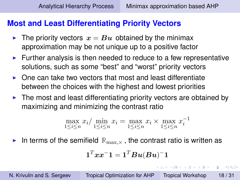#### <span id="page-17-0"></span>**Most and Least Differentiating Priority Vectors**

- If The priority vectors  $x = Bu$  obtained by the minimax approximation may be not unique up to a positive factor
- $\blacktriangleright$  Further analysis is then needed to reduce to a few representative solutions, such as some "best" and "worst" priority vectors
- $\triangleright$  One can take two vectors that most and least differentiate between the choices with the highest and lowest priorities
- $\blacktriangleright$  The most and least differentiating priority vectors are obtained by maximizing and minimizing the contrast ratio

$$
\max_{1 \leq i \leq n} x_i / \min_{1 \leq i \leq n} x_i = \max_{1 \leq i \leq n} x_i \times \max_{1 \leq i \leq n} x_i^{-1}
$$

In terms of the semifield  $\mathbb{R}_{\max,\times}$ , the contrast ratio is written as

$$
\mathbf{1}^T \boldsymbol{x} \boldsymbol{x}^- \mathbf{1} = \mathbf{1}^T \boldsymbol{B} \boldsymbol{u} (\boldsymbol{B} \boldsymbol{u})^- \mathbf{1}
$$

(ロトイ団) → イ君 → イ君 →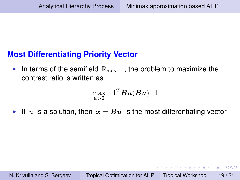### <span id="page-18-0"></span>**Most Differentiating Priority Vector**

In terms of the semifield  $\mathbb{R}_{\max,X}$ , the problem to maximize the contrast ratio is written as

$$
\max_{\bm{u} > \bm{0}} ~~ \bm{1}^T\bm{B}\bm{u}(\bm{B}\bm{u})^- \bm{1}
$$

If u is a solution, then  $x = Bu$  is the most differentiating vector

イロト イ押ト イヨト イヨト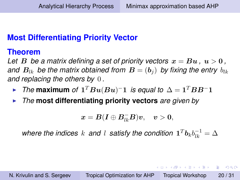## <span id="page-19-0"></span>**Most Differentiating Priority Vector**

#### **Theorem**

Let B be a matrix defining a set of priority vectors  $x = Bu$ ,  $u > 0$ , *and*  $B_{lk}$  *be the matrix obtained from*  $B = (b_i)$  *by fixing the entry*  $b_{lk}$ *and replacing the others by* 0 *.*

- ► The maximum of  $\mathbf{1}^T B u(Bu)^- \mathbf{1}$  is equal to  $\Delta = \mathbf{1}^T BB^- \mathbf{1}$
- **Fig. 7 The most differentiating priority vectors** are given by

$$
\textbf{\textit{x}}=\textbf{\textit{B}}(\textbf{\textit{I}}\oplus \textbf{\textit{B}}_{lk}^{-}\textbf{\textit{B}})\textbf{\textit{v}},\quad \textbf{\textit{v}}>0,
$$

where the indices  $k$  and  $l$  satisfy the condition  $\mathbf{1}^T\boldsymbol{b}_kb_{lk}^{-1}=\Delta$ 

K ロ X × 伊 X × ミ X × ミ X → ミ ミ …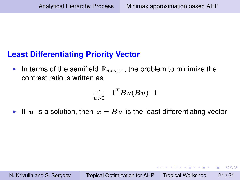### <span id="page-20-0"></span>**Least Differentiating Priority Vector**

In terms of the semifield  $\mathbb{R}_{\max,X}$ , the problem to minimize the contrast ratio is written as

$$
\min_{\bm{u} > \bm{0}} ~~ \bm{1}^T\bm{B}\bm{u}(\bm{B}\bm{u})^- \bm{1}
$$

If u is a solution, then  $x = Bu$  is the least differentiating vector

イロト イ押ト イヨト イヨト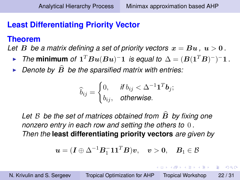イロト イ押 トイヨ トイヨ トー

 $2Q$ 

## <span id="page-21-0"></span>**Least Differentiating Priority Vector**

#### **Theorem**

*Let* B be a matrix defining a set of priority vectors  $x = Bu$ ,  $u > 0$ .

- ► The minimum of  $\mathbf{1}^T B u(Bu)^{-} \mathbf{1}$  is equal to  $\Delta = (B(\mathbf{1}^T B)^{-})^{-} \mathbf{1}$  *.*
- $\blacktriangleright$  *Denote by*  $\widehat{B}$  *be the sparsified matrix with entries:*

$$
\widehat{b}_{ij} = \begin{cases} 0, & \text{if } b_{ij} < \Delta^{-1} \mathbf{1}^T \mathbf{b}_j; \\ b_{ij}, & \text{otherwise.} \end{cases}
$$

Let  $\beta$  be the set of matrices obtained from  $\hat{B}$  by fixing one *nonzero entry in each row and setting the others to* 0 *. Then the* **least differentiating priority vectors** *are given by*

$$
\boldsymbol{u} = (\boldsymbol{I} \oplus \Delta^{-1} \boldsymbol{B}_1^- \boldsymbol{1} \boldsymbol{1}^T \boldsymbol{B}) \boldsymbol{v}, \quad \boldsymbol{v} > \boldsymbol{0}, \quad \boldsymbol{B}_1 \in \mathcal{B}
$$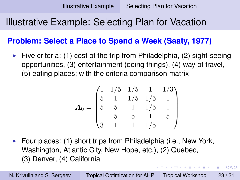# <span id="page-22-0"></span>Illustrative Example: Selecting Plan for Vacation

#### **Problem: Select a Place to Spend a Week (Saaty, 1977)**

 $\blacktriangleright$  Five criteria: (1) cost of the trip from Philadelphia, (2) sight-seeing opportunities, (3) entertainment (doing things), (4) way of travel, (5) eating places; with the criteria comparison matrix

$$
\mathbf{A}_0 = \begin{pmatrix} 1 & 1/5 & 1/5 & 1 & 1/3 \\ 5 & 1 & 1/5 & 1/5 & 1 \\ 5 & 5 & 1 & 1/5 & 1 \\ 1 & 5 & 5 & 1 & 5 \\ 3 & 1 & 1 & 1/5 & 1 \end{pmatrix}
$$

 $\triangleright$  Four places: (1) short trips from Philadelphia (i.e., New York, Washington, Atlantic City, New Hope, etc.), (2) Quebec, (3) Denver, (4) California

N. Krivulin and S. Sergeev [Tropical Optimization for AHP](#page-0-0) Tropical Workshop 23 / 31

→ 重き → 重き →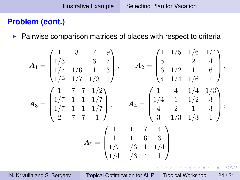#### <span id="page-23-0"></span>**Problem (cont.)**

 $\blacktriangleright$  Pairwise comparison matrices of places with respect to criteria

$$
A_1 = \begin{pmatrix} 1 & 3 & 7 & 9 \\ 1/3 & 1 & 6 & 7 \\ 1/7 & 1/6 & 1 & 3 \\ 1/9 & 1/7 & 1/3 & 1 \end{pmatrix}, \qquad A_2 = \begin{pmatrix} 1 & 1/5 & 1/6 & 1/4 \\ 5 & 1 & 2 & 4 \\ 6 & 1/2 & 1 & 6 \\ 4 & 1/4 & 1/6 & 1 \end{pmatrix},
$$

$$
A_3 = \begin{pmatrix} 1 & 7 & 7 & 1/2 \\ 1/7 & 1 & 1 & 1/7 \\ 1/7 & 1 & 1 & 1/7 \\ 2 & 7 & 7 & 1 \end{pmatrix}, \qquad A_4 = \begin{pmatrix} 1 & 4 & 1/4 & 1/3 \\ 1/4 & 1 & 1/2 & 3 \\ 4 & 2 & 1 & 3 \\ 3 & 1/3 & 1/3 & 1 \end{pmatrix},
$$

$$
A_5 = \begin{pmatrix} 1 & 1 & 7 & 4 \\ 1/4 & 1/6 & 1 & 1/4 \\ 1/4 & 1/3 & 4 & 1 \end{pmatrix}
$$

**K ロ ▶ K 何 ▶ K ヨ ▶ K ヨ ▶** 

 $\Rightarrow$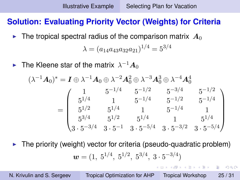### <span id="page-24-0"></span>**Solution: Evaluating Priority Vector (Weights) for Criteria**

In The tropical spectral radius of the comparison matrix  $A_0$ 

$$
\lambda = (a_{14}a_{43}a_{32}a_{21})^{1/4} = 5^{3/4}
$$

 $\blacktriangleright$  The Kleene star of the matrix  $\lambda^{-1}\boldsymbol{A}_0$ 

$$
(\lambda^{-1}A_0)^* = I \oplus \lambda^{-1}A_0 \oplus \lambda^{-2}A_0^2 \oplus \lambda^{-3}A_0^3 \oplus \lambda^{-4}A_0^4
$$
  
= 
$$
\begin{pmatrix} 1 & 5^{-1/4} & 5^{-1/2} & 5^{-3/4} & 5^{-1/2} \\ 5^{1/4} & 1 & 5^{-1/4} & 5^{-1/2} & 5^{-1/4} \\ 5^{1/2} & 5^{1/4} & 1 & 5^{-1/4} & 1 \\ 5^{3/4} & 5^{1/2} & 5^{1/4} & 1 & 5^{1/4} \\ 3 \cdot 5^{-3/4} & 3 \cdot 5^{-1} & 3 \cdot 5^{-5/4} & 3 \cdot 5^{-3/2} & 3 \cdot 5^{-5/4} \end{pmatrix}
$$

The priority (weight) vector for criteria (pseudo-quadratic problem)

$$
\mathbf{w} = (1, 5^{1/4}, 5^{1/2}, 5^{3/4}, 3 \cdot 5^{-3/4})
$$

 $299$ 

イロト イ押 トイヨ トイヨ トー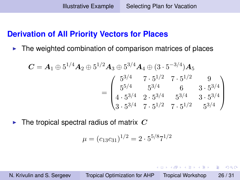#### <span id="page-25-0"></span>**Derivation of All Priority Vectors for Places**

 $\blacktriangleright$  The weighted combination of comparison matrices of places

$$
C = A_1 \oplus 5^{1/4} A_2 \oplus 5^{1/2} A_3 \oplus 5^{3/4} A_4 \oplus (3 \cdot 5^{-3/4}) A_5
$$
  
= 
$$
\begin{pmatrix} 5^{3/4} & 7 \cdot 5^{1/2} & 7 \cdot 5^{1/2} & 9 \\ 5^{5/4} & 5^{3/4} & 6 & 3 \cdot 5^{3/4} \\ 4 \cdot 5^{3/4} & 2 \cdot 5^{3/4} & 5^{3/4} & 3 \cdot 5^{3/4} \\ 3 \cdot 5^{3/4} & 7 \cdot 5^{1/2} & 7 \cdot 5^{1/2} & 5^{3/4} \end{pmatrix}
$$

 $\blacktriangleright$  The tropical spectral radius of matrix  $C$ 

$$
\mu = (c_{13}c_{31})^{1/2} = 2 \cdot 5^{5/8}7^{1/2}
$$

N. Krivulin and S. Sergeev [Tropical Optimization for AHP](#page-0-0) Tropical Workshop 26 / 31

 $A\circ \Xi\circ \lambda\circ A\circ \Xi\circ \lambda\circ$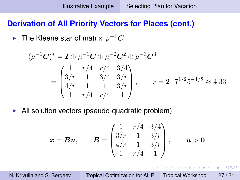#### <span id="page-26-0"></span>**Derivation of All Priority Vectors for Places (cont.)**

 $\blacktriangleright$  The Kleene star of matrix  $\mu^{-1}\boldsymbol{C}$ 

$$
(\mu^{-1}C)^{*} = I \oplus \mu^{-1}C \oplus \mu^{-2}C^{2} \oplus \mu^{-3}C^{3}
$$
  
= 
$$
\begin{pmatrix} 1 & r/4 & r/4 & 3/4 \\ 3/r & 1 & 3/4 & 3/r \\ 4/r & 1 & 1 & 3/r \\ 1 & r/4 & r/4 & 1 \end{pmatrix}, \qquad r = 2 \cdot 7^{1/2}5^{-1/8} \approx 4.33
$$

 $\blacktriangleright$  All solution vectors (pseudo-quadratic problem)

$$
\boldsymbol{x} = \boldsymbol{B}\boldsymbol{u}, \qquad \boldsymbol{B} = \begin{pmatrix} 1 & r/4 & 3/4 \\ 3/r & 1 & 3/r \\ 4/r & 1 & 3/r \\ 1 & r/4 & 1 \end{pmatrix}, \qquad \boldsymbol{u} > \boldsymbol{0}
$$

 $A\equiv\mathbb{R}^n,\ A\equiv\mathbb{R}^n.$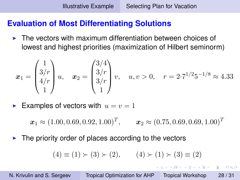### <span id="page-27-0"></span>**Evaluation of Most Differentiating Solutions**

 $\blacktriangleright$  The vectors with maximum differentiation between choices of lowest and highest priorities (maximization of Hilbert seminorm)

$$
\boldsymbol{x}_1 = \begin{pmatrix} 1 \\ 3/r \\ 4/r \\ 1 \end{pmatrix} u, \quad \boldsymbol{x}_2 = \begin{pmatrix} 3/4 \\ 3/r \\ 3/r \\ 1 \end{pmatrix} v, \quad u, v > 0, \quad r = 2 \cdot 7^{1/2} 5^{-1/8} \approx 4.33
$$

Examples of vectors with  $u = v = 1$ 

 $\boldsymbol{x}_1 \approx (1.00, 0.69, 0.92, 1.00)^T, \qquad \boldsymbol{x}_2 \approx (0.75, 0.69, 0.69, 1.00)^T$ 

 $\blacktriangleright$  The priority order of places according to the vectors

$$
(4) \equiv (1) \succ (3) \succ (2), \qquad (4) \succ (1) \succ (3) \equiv (2)
$$

 $2990$ 

イロト イ押 トイヨ トイヨ トーヨー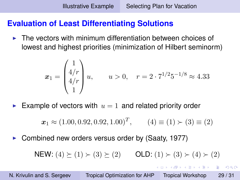### <span id="page-28-0"></span>**Evaluation of Least Differentiating Solutions**

 $\blacktriangleright$  The vectors with minimum differentiation between choices of lowest and highest priorities (minimization of Hilbert seminorm)

$$
\boldsymbol{x}_1 = \begin{pmatrix} 1 \\ 4/r \\ 4/r \\ 1 \end{pmatrix} u, \qquad u > 0, \quad r = 2 \cdot 7^{1/2} 5^{-1/8} \approx 4.33
$$

Example of vectors with  $u = 1$  and related priority order

$$
\boldsymbol{x}_1 \approx (1.00, 0.92, 0.92, 1.00)^T, \qquad (4) \equiv (1) \succ (3) \equiv (2)
$$

Combined new orders versus order by (Saaty, 1977)

NEW:  $(4) \ge (1) \ge (3) \ge (2)$  OLD:  $(1) \ge (3) \ge (4) \ge (2)$ 

 $2990$ 

→ 重き → 重き →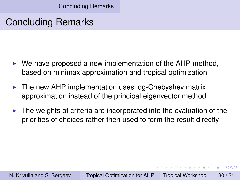[Concluding Remarks](#page-29-0)

## <span id="page-29-0"></span>Concluding Remarks

- $\triangleright$  We have proposed a new implementation of the AHP method, based on minimax approximation and tropical optimization
- $\blacktriangleright$  The new AHP implementation uses log-Chebyshev matrix approximation instead of the principal eigenvector method
- $\blacktriangleright$  The weights of criteria are incorporated into the evaluation of the priorities of choices rather then used to form the result directly

 $A \equiv \mathbf{1} \times \mathbf{1} \times \mathbf{1} \times \mathbf{1}$ 

 $\Omega$